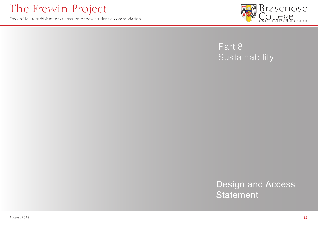

### The Frewin Project

Frewin Hall refurbishment  $\epsilon$  erection of new student accommodation



## Design and Access

Statement

**52.**

Part 8

# Sustainability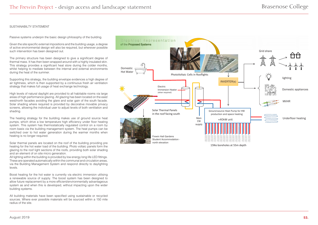#### SUSTAINABILTY STATEMENT

Passive systems underpin the basic design philosophy of the building.

Given the site specific external impositions and the building usage, a degree of active environmental design will also be required, but wherever possible such intervention has been designed out.

The primary structure has been designed to give a significant degree of thermal mass. It has then been wrapped around with a highly insulated skin. This strategy provides a significant heat store during the colder months, whilst helping to mediate between the internal and external environments during the heat of the summer.

Supporting this strategy, the building envelope evidences a high degree of air tightness, which is then supported by a continuous fresh air ventilation strategy that makes full usage of heat exchange technology.

High levels of natural daylight are provided to all habitable rooms via large areas of high performance glazing. All glazing has been located on the east/ west/north facades avoiding the glare and solar gain of the south facade. Solar shading where required is provided by decorative movable privacy screens, allowing the individual user to adjust levels of both ventilation and shading.

The heating strategy for the building makes use of ground source heat pumps, which drive a low temperature high efficiency under floor heating system. This system has thermostatically regulated control on a room by room basis via the building management system. The heat pumps can be switched over to hot water generation during the warmer months when heating is no longer required.

Solar thermal panels are located on the roof of the building providing pre heating for the hot water load of the building. Photo voltaic panels form the glazing to the roof light sections of the roofs, providing both solar shading and an element of on site micro generation.

All lighting within the building is provided by low energy long life LED fittings. These are operated automatically within the communal and circulation areas, via the Building Management System and respond directly to daylighting levels.

Boost heating for the hot water is currently via electric immersion utilising a renewable source of supply. The boost system has been designed to allow future replacement by a more efficient/environmentally advantageous system as and when this is developed, without impacting upon the wider building systems.

All building materials have been specified using sustainable or recycled sources. Where ever possible materials will be sourced within a 150 mile radius of the site.